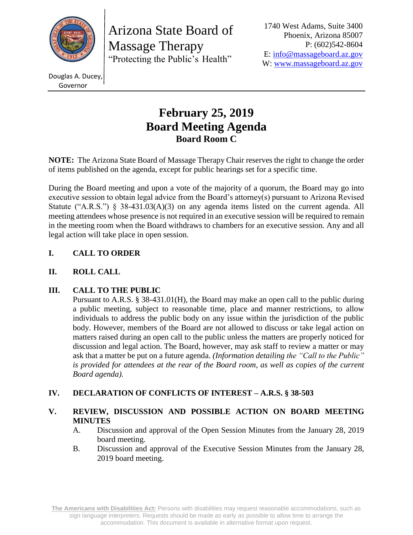

Arizona State Board of Massage Therapy "Protecting the Public's Health"

1740 West Adams, Suite 3400 Phoenix, Arizona 85007 P: (602)542-8604 E: [info@massageboard.az.gov](mailto:info@massageboard.az.gov) W: [www.massageboard.az.gov](http://www.massageboard.az.gov/)

Douglas A. Ducey, Governor

# **February 25, 2019 Board Meeting Agenda Board Room C**

**NOTE:** The Arizona State Board of Massage Therapy Chair reserves the right to change the order of items published on the agenda, except for public hearings set for a specific time.

During the Board meeting and upon a vote of the majority of a quorum, the Board may go into executive session to obtain legal advice from the Board's attorney(s) pursuant to Arizona Revised Statute ("A.R.S.") § 38-431.03(A)(3) on any agenda items listed on the current agenda. All meeting attendees whose presence is not required in an executive session will be required to remain in the meeting room when the Board withdraws to chambers for an executive session. Any and all legal action will take place in open session.

# **I. CALL TO ORDER**

# **II. ROLL CALL**

# **III. CALL TO THE PUBLIC**

Pursuant to A.R.S. § 38-431.01(H), the Board may make an open call to the public during a public meeting, subject to reasonable time, place and manner restrictions, to allow individuals to address the public body on any issue within the jurisdiction of the public body. However, members of the Board are not allowed to discuss or take legal action on matters raised during an open call to the public unless the matters are properly noticed for discussion and legal action. The Board, however, may ask staff to review a matter or may ask that a matter be put on a future agenda. *(Information detailing the "Call to the Public"*  is provided for attendees at the rear of the Board room, as well as copies of the current *Board agenda).* 

# **IV. DECLARATION OF CONFLICTS OF INTEREST – A.R.S. § 38-503**

# **V. REVIEW, DISCUSSION AND POSSIBLE ACTION ON BOARD MEETING MINUTES**

- A. Discussion and approval of the Open Session Minutes from the January 28, 2019 board meeting.
- B. Discussion and approval of the Executive Session Minutes from the January 28, 2019 board meeting.

**The Americans with Disabilities Act:** Persons with disabilities may request reasonable accommodations, such as sign language interpreters. Requests should be made as early as possible to allow time to arrange the accommodation. This document is available in alternative format upon request.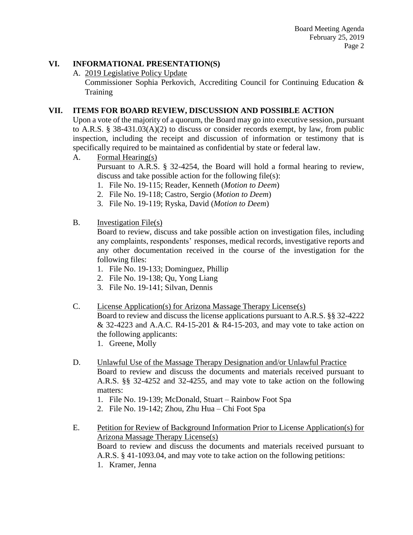# **VI. INFORMATIONAL PRESENTATION(S)**

A. 2019 Legislative Policy Update

Commissioner Sophia Perkovich, Accrediting Council for Continuing Education & Training

# **VII. ITEMS FOR BOARD REVIEW, DISCUSSION AND POSSIBLE ACTION**

Upon a vote of the majority of a quorum, the Board may go into executive session, pursuant to A.R.S. § 38-431.03(A)(2) to discuss or consider records exempt, by law, from public inspection, including the receipt and discussion of information or testimony that is specifically required to be maintained as confidential by state or federal law.

A. Formal Hearing(s)

Pursuant to A.R.S. § 32-4254, the Board will hold a formal hearing to review, discuss and take possible action for the following file(s):

- 1. File No. 19-115; Reader, Kenneth (*Motion to Deem*)
- 2. File No. 19-118; Castro, Sergio (*Motion to Deem*)
- 3. File No. 19-119; Ryska, David (*Motion to Deem*)

#### B. Investigation File(s)

Board to review, discuss and take possible action on investigation files, including any complaints, respondents' responses, medical records, investigative reports and any other documentation received in the course of the investigation for the following files:

- 1. File No. 19-133; Dominguez, Phillip
- 2. File No. 19-138; Qu, Yong Liang
- 3. File No. 19-141; Silvan, Dennis

#### C. License Application(s) for Arizona Massage Therapy License(s)

Board to review and discuss the license applications pursuant to A.R.S. §§ 32-4222  $& 32-4223$  and A.A.C. R4-15-201  $&$  R4-15-203, and may vote to take action on the following applicants:

1. Greene, Molly

- D. Unlawful Use of the Massage Therapy Designation and/or Unlawful Practice Board to review and discuss the documents and materials received pursuant to A.R.S. §§ 32-4252 and 32-4255, and may vote to take action on the following matters:
	- 1. File No. 19-139; McDonald, Stuart Rainbow Foot Spa
	- 2. File No. 19-142; Zhou, Zhu Hua Chi Foot Spa
- E. Petition for Review of Background Information Prior to License Application(s) for Arizona Massage Therapy License(s) Board to review and discuss the documents and materials received pursuant to A.R.S. § 41-1093.04, and may vote to take action on the following petitions:
	- 1. Kramer, Jenna